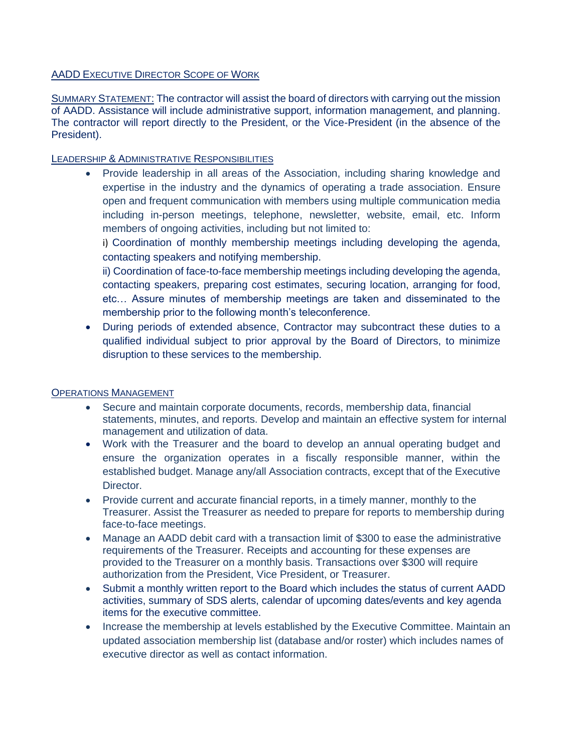## AADD EXECUTIVE DIRECTOR SCOPE OF WORK

SUMMARY STATEMENT: The contractor will assist the board of directors with carrying out the mission of AADD. Assistance will include administrative support, information management, and planning. The contractor will report directly to the President, or the Vice-President (in the absence of the President).

## LEADERSHIP & ADMINISTRATIVE RESPONSIBILITIES

• Provide leadership in all areas of the Association, including sharing knowledge and expertise in the industry and the dynamics of operating a trade association. Ensure open and frequent communication with members using multiple communication media including in-person meetings, telephone, newsletter, website, email, etc. Inform members of ongoing activities, including but not limited to:

i) Coordination of monthly membership meetings including developing the agenda, contacting speakers and notifying membership.

ii) Coordination of face-to-face membership meetings including developing the agenda, contacting speakers, preparing cost estimates, securing location, arranging for food, etc… Assure minutes of membership meetings are taken and disseminated to the membership prior to the following month's teleconference.

• During periods of extended absence, Contractor may subcontract these duties to a qualified individual subject to prior approval by the Board of Directors, to minimize disruption to these services to the membership.

## OPERATIONS MANAGEMENT

- Secure and maintain corporate documents, records, membership data, financial statements, minutes, and reports. Develop and maintain an effective system for internal management and utilization of data.
- Work with the Treasurer and the board to develop an annual operating budget and ensure the organization operates in a fiscally responsible manner, within the established budget. Manage any/all Association contracts, except that of the Executive Director.
- Provide current and accurate financial reports, in a timely manner, monthly to the Treasurer. Assist the Treasurer as needed to prepare for reports to membership during face-to-face meetings.
- Manage an AADD debit card with a transaction limit of \$300 to ease the administrative requirements of the Treasurer. Receipts and accounting for these expenses are provided to the Treasurer on a monthly basis. Transactions over \$300 will require authorization from the President, Vice President, or Treasurer.
- Submit a monthly written report to the Board which includes the status of current AADD activities, summary of SDS alerts, calendar of upcoming dates/events and key agenda items for the executive committee.
- Increase the membership at levels established by the Executive Committee. Maintain an updated association membership list (database and/or roster) which includes names of executive director as well as contact information.